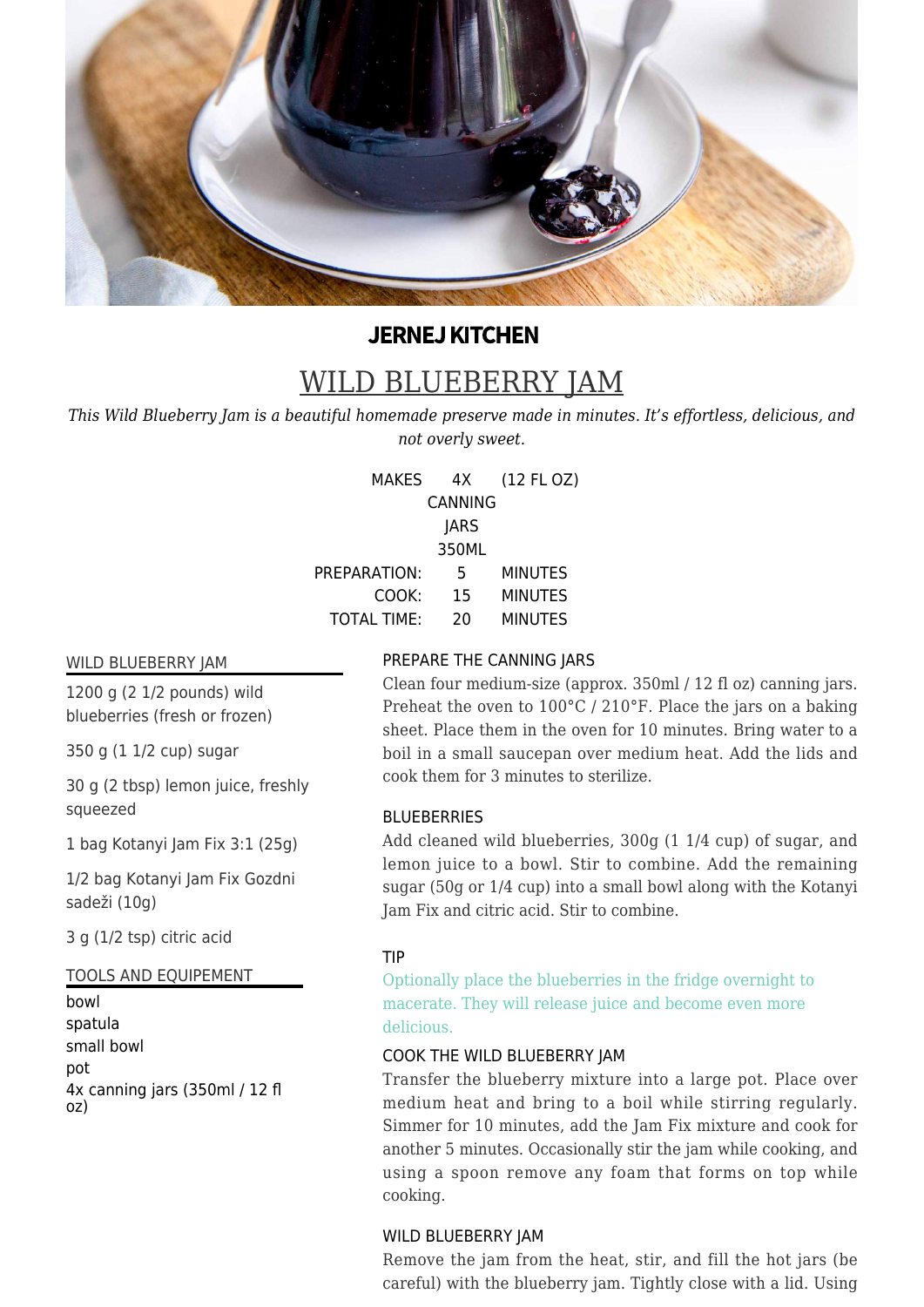

# **JERNEJ KITCHEN**

# WILD BLUEBERRY JAM

*This Wild Blueberry Jam is a beautiful homemade preserve made in minutes. It's effortless, delicious, and not overly sweet.*

> MAKES 4X CANNING **JARS** 350ML (12 FL OZ) PREPARATION: 5 MINUTES

COOK: 15 MINUTES TOTAL TIME: 20 MINUTES

#### WILD BLUEBERRY JAM

1200 g (2 1/2 pounds) wild blueberries (fresh or frozen)

350 g (1 1/2 cup) sugar

30 g (2 tbsp) lemon juice, freshly squeezed

1 bag Kotanyi Jam Fix 3:1 (25g)

1/2 bag Kotanyi Jam Fix Gozdni sadeži (10g)

3 g (1/2 tsp) citric acid

# TOOLS AND EQUIPEMENT

bowl spatula small bowl pot 4x canning jars (350ml / 12 fl oz)

# PREPARE THE CANNING JARS

Clean four medium-size (approx. 350ml / 12 fl oz) canning jars. Preheat the oven to 100°C / 210°F. Place the jars on a baking sheet. Place them in the oven for 10 minutes. Bring water to a boil in a small saucepan over medium heat. Add the lids and cook them for 3 minutes to sterilize.

## BLUEBERRIES

Add cleaned wild blueberries, 300g (1 1/4 cup) of sugar, and lemon juice to a bowl. Stir to combine. Add the remaining sugar (50g or 1/4 cup) into a small bowl along with the Kotanyi Jam Fix and citric acid. Stir to combine.

## TIP

Optionally place the blueberries in the fridge overnight to macerate. They will release juice and become even more delicious.

## COOK THE WILD BLUEBERRY JAM

Transfer the blueberry mixture into a large pot. Place over medium heat and bring to a boil while stirring regularly. Simmer for 10 minutes, add the Jam Fix mixture and cook for another 5 minutes. Occasionally stir the jam while cooking, and using a spoon remove any foam that forms on top while cooking.

# WILD BLUEBERRY JAM

Remove the jam from the heat, stir, and fill the hot jars (be careful) with the blueberry jam. Tightly close with a lid. Using